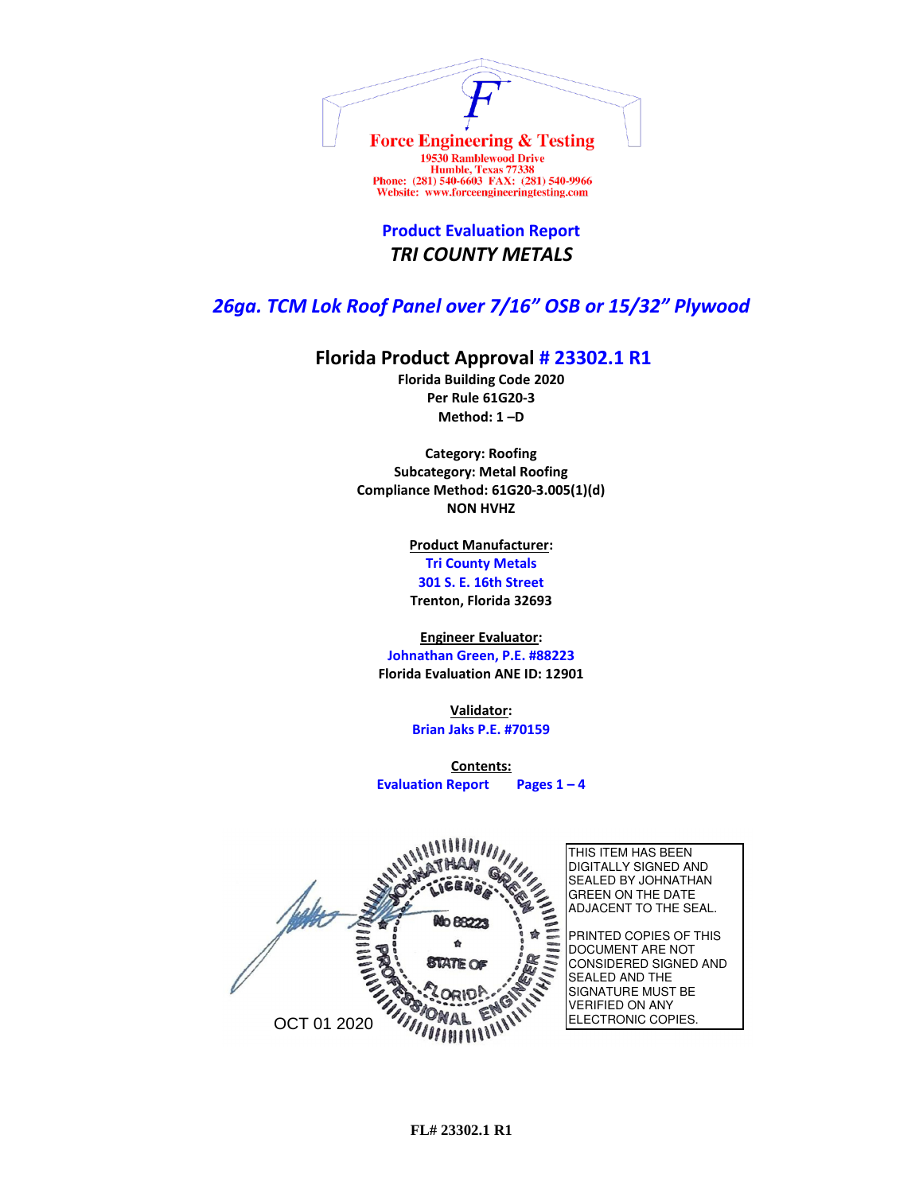

**Product Evaluation Report** *TRI COUNTY METALS*

## *26ga. TCM Lok Roof Panel over 7/16" OSB or 15/32" Plywood*

## **Florida Product Approval # 23302.1 R1**

**Florida Building Code 2020 Per Rule 61G20-3 Method: 1 –D** 

**Category: Roofing Subcategory: Metal Roofing Compliance Method: 61G20-3.005(1)(d) NON HVHZ**

> **Product Manufacturer: Tri County Metals 301 S. E. 16th Street Trenton, Florida 32693**

**Engineer Evaluator:**

**Johnathan Green, P.E. #88223 Florida Evaluation ANE ID: 12901**

> **Validator: Brian Jaks P.E. #70159**

**Contents: Evaluation Report Pages 1 – 4**

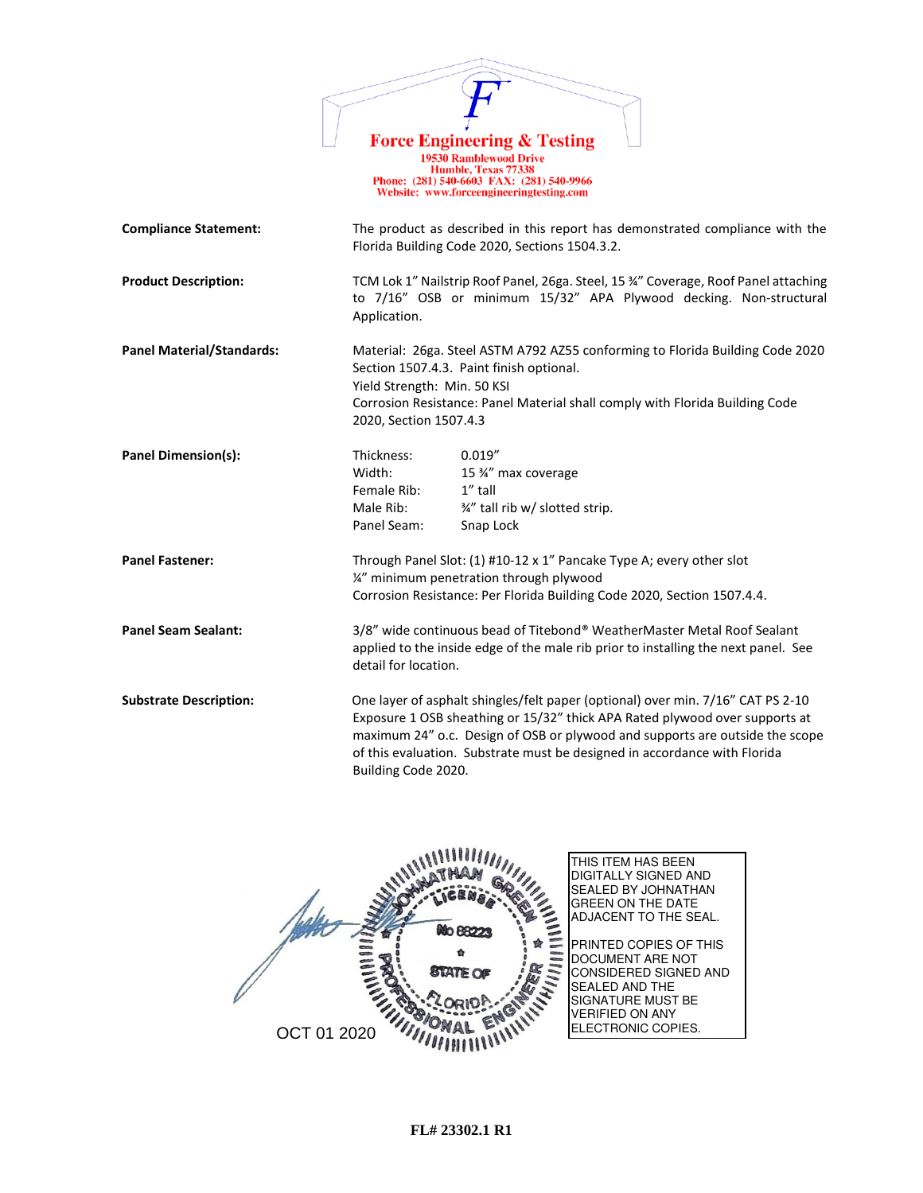|                                  | <b>Force Engineering &amp; Testing</b>                                                                                                                                                                                                                                                                                                             |  |  |
|----------------------------------|----------------------------------------------------------------------------------------------------------------------------------------------------------------------------------------------------------------------------------------------------------------------------------------------------------------------------------------------------|--|--|
|                                  | <b>19530 Ramblewood Drive</b><br>Humble, Texas 77338<br>Phone: (281) 540-6603 FAX: (281) 540-9966<br>Website: www.forceengineeringtesting.com                                                                                                                                                                                                      |  |  |
| <b>Compliance Statement:</b>     | The product as described in this report has demonstrated compliance with the<br>Florida Building Code 2020, Sections 1504.3.2.                                                                                                                                                                                                                     |  |  |
| <b>Product Description:</b>      | TCM Lok 1" Nailstrip Roof Panel, 26ga. Steel, 15 34" Coverage, Roof Panel attaching<br>to 7/16" OSB or minimum 15/32" APA Plywood decking. Non-structural<br>Application.                                                                                                                                                                          |  |  |
| <b>Panel Material/Standards:</b> | Material: 26ga. Steel ASTM A792 AZ55 conforming to Florida Building Code 2020<br>Section 1507.4.3. Paint finish optional.<br>Yield Strength: Min. 50 KSI<br>Corrosion Resistance: Panel Material shall comply with Florida Building Code<br>2020, Section 1507.4.3                                                                                 |  |  |
| <b>Panel Dimension(s):</b>       | Thickness:<br>0.019''<br>Width:<br>15 %" max coverage<br>Female Rib:<br>1" tall<br>Male Rib:<br>3/4" tall rib w/ slotted strip.<br>Panel Seam:<br>Snap Lock                                                                                                                                                                                        |  |  |
| <b>Panel Fastener:</b>           | Through Panel Slot: (1) #10-12 x 1" Pancake Type A; every other slot<br>1/4" minimum penetration through plywood<br>Corrosion Resistance: Per Florida Building Code 2020, Section 1507.4.4.                                                                                                                                                        |  |  |
| <b>Panel Seam Sealant:</b>       | 3/8" wide continuous bead of Titebond® WeatherMaster Metal Roof Sealant<br>applied to the inside edge of the male rib prior to installing the next panel. See<br>detail for location.                                                                                                                                                              |  |  |
| <b>Substrate Description:</b>    | One layer of asphalt shingles/felt paper (optional) over min. 7/16" CAT PS 2-10<br>Exposure 1 OSB sheathing or 15/32" thick APA Rated plywood over supports at<br>maximum 24" o.c. Design of OSB or plywood and supports are outside the scope<br>of this evaluation. Substrate must be designed in accordance with Florida<br>Building Code 2020. |  |  |

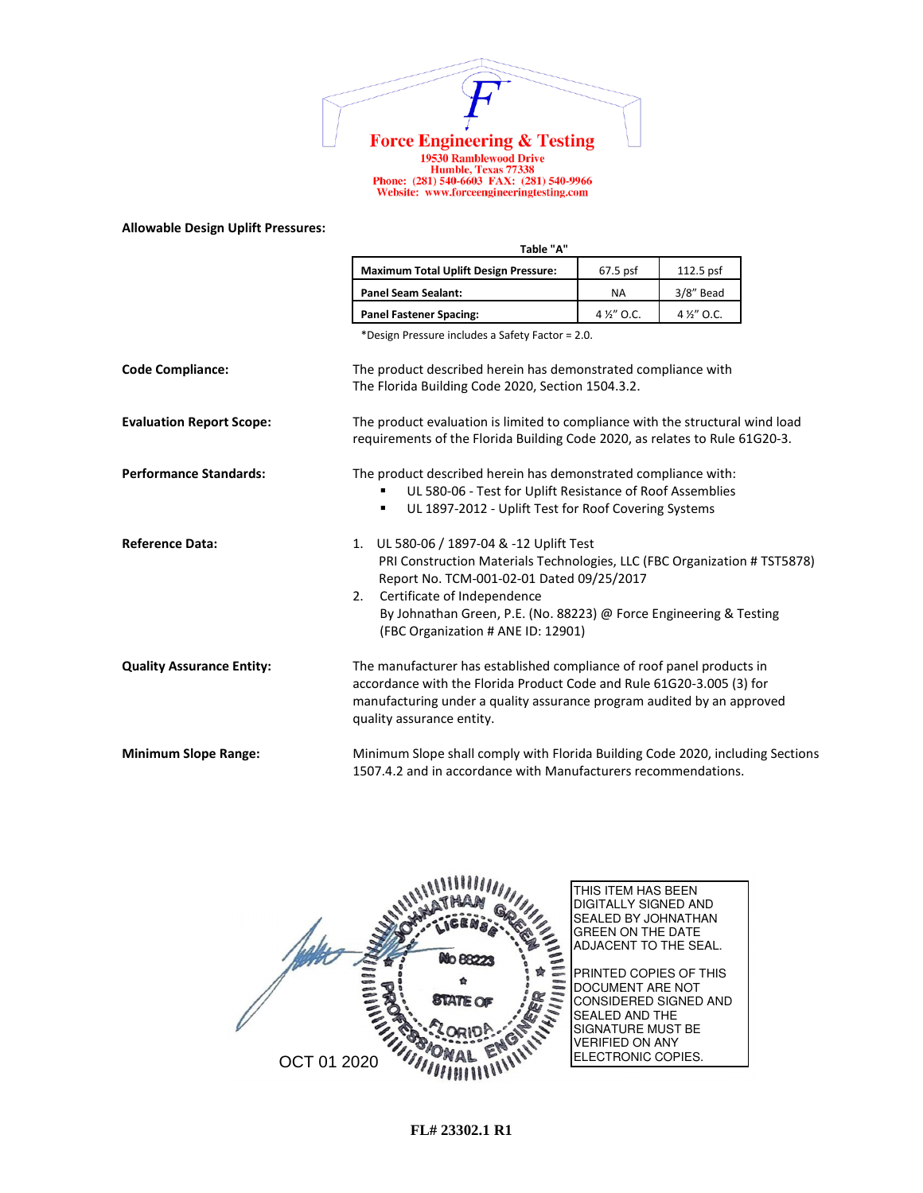

1978 Ramblewood Drive<br>
19530 Ramblewood Drive<br>
Humble, Texas 77338<br>
Phone: (281) 540-6603 FAX: (281) 540-9966<br>
Website: www.forceengineeringtesting.com

## **Allowable Design Uplift Pressures:**

|                                  | Table "A"                                                                                                                                                                                                                                                                                                           |             |             |  |
|----------------------------------|---------------------------------------------------------------------------------------------------------------------------------------------------------------------------------------------------------------------------------------------------------------------------------------------------------------------|-------------|-------------|--|
|                                  | <b>Maximum Total Uplift Design Pressure:</b>                                                                                                                                                                                                                                                                        | 67.5 psf    | 112.5 psf   |  |
|                                  | <b>Panel Seam Sealant:</b>                                                                                                                                                                                                                                                                                          | <b>NA</b>   | 3/8" Bead   |  |
|                                  | <b>Panel Fastener Spacing:</b>                                                                                                                                                                                                                                                                                      | 4 1/2" O.C. | 4 1/2" O.C. |  |
|                                  | *Design Pressure includes a Safety Factor = 2.0.                                                                                                                                                                                                                                                                    |             |             |  |
| <b>Code Compliance:</b>          | The product described herein has demonstrated compliance with<br>The Florida Building Code 2020, Section 1504.3.2.                                                                                                                                                                                                  |             |             |  |
| <b>Evaluation Report Scope:</b>  | The product evaluation is limited to compliance with the structural wind load<br>requirements of the Florida Building Code 2020, as relates to Rule 61G20-3.                                                                                                                                                        |             |             |  |
| <b>Performance Standards:</b>    | The product described herein has demonstrated compliance with:<br>UL 580-06 - Test for Uplift Resistance of Roof Assemblies<br>UL 1897-2012 - Uplift Test for Roof Covering Systems<br>٠                                                                                                                            |             |             |  |
| <b>Reference Data:</b>           | 1. UL 580-06 / 1897-04 & -12 Uplift Test<br>PRI Construction Materials Technologies, LLC (FBC Organization # TST5878)<br>Report No. TCM-001-02-01 Dated 09/25/2017<br>Certificate of Independence<br>2.<br>By Johnathan Green, P.E. (No. 88223) @ Force Engineering & Testing<br>(FBC Organization # ANE ID: 12901) |             |             |  |
| <b>Quality Assurance Entity:</b> | The manufacturer has established compliance of roof panel products in<br>accordance with the Florida Product Code and Rule 61G20-3.005 (3) for<br>manufacturing under a quality assurance program audited by an approved<br>quality assurance entity.                                                               |             |             |  |
| <b>Minimum Slope Range:</b>      | Minimum Slope shall comply with Florida Building Code 2020, including Sections<br>1507.4.2 and in accordance with Manufacturers recommendations.                                                                                                                                                                    |             |             |  |

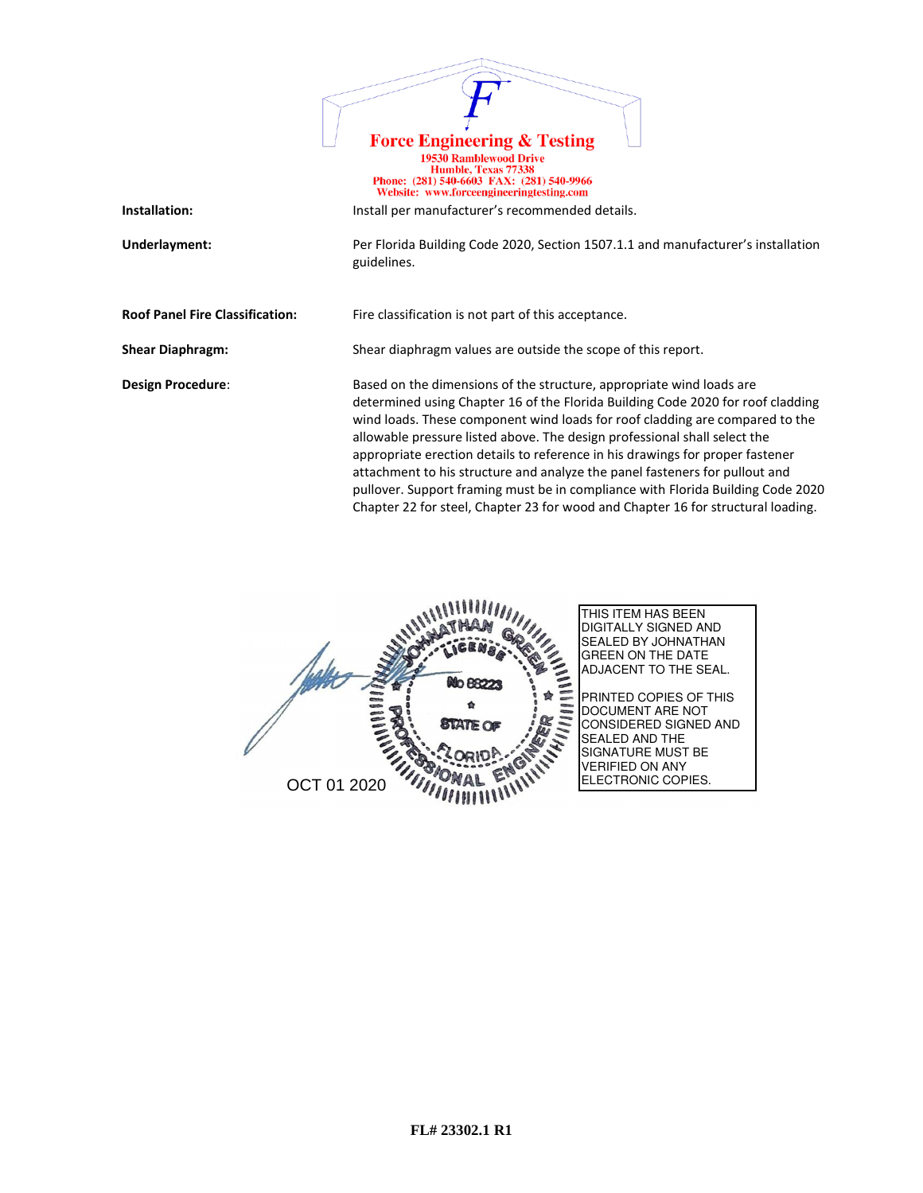|                                        | <b>Force Engineering &amp; Testing</b><br><b>19530 Ramblewood Drive</b><br>Humble, Texas 77338<br>Phone: (281) 540-6603 FAX: (281) 540-9966                                                                                                                                                                                                                                                                                                                                                                                                                                                                                                                 |
|----------------------------------------|-------------------------------------------------------------------------------------------------------------------------------------------------------------------------------------------------------------------------------------------------------------------------------------------------------------------------------------------------------------------------------------------------------------------------------------------------------------------------------------------------------------------------------------------------------------------------------------------------------------------------------------------------------------|
|                                        | Website: www.forceengineeringtesting.com                                                                                                                                                                                                                                                                                                                                                                                                                                                                                                                                                                                                                    |
| Installation:                          | Install per manufacturer's recommended details.                                                                                                                                                                                                                                                                                                                                                                                                                                                                                                                                                                                                             |
| Underlayment:                          | Per Florida Building Code 2020, Section 1507.1.1 and manufacturer's installation<br>guidelines.                                                                                                                                                                                                                                                                                                                                                                                                                                                                                                                                                             |
| <b>Roof Panel Fire Classification:</b> | Fire classification is not part of this acceptance.                                                                                                                                                                                                                                                                                                                                                                                                                                                                                                                                                                                                         |
| <b>Shear Diaphragm:</b>                | Shear diaphragm values are outside the scope of this report.                                                                                                                                                                                                                                                                                                                                                                                                                                                                                                                                                                                                |
| Design Procedure:                      | Based on the dimensions of the structure, appropriate wind loads are<br>determined using Chapter 16 of the Florida Building Code 2020 for roof cladding<br>wind loads. These component wind loads for roof cladding are compared to the<br>allowable pressure listed above. The design professional shall select the<br>appropriate erection details to reference in his drawings for proper fastener<br>attachment to his structure and analyze the panel fasteners for pullout and<br>pullover. Support framing must be in compliance with Florida Building Code 2020<br>Chapter 22 for steel, Chapter 23 for wood and Chapter 16 for structural loading. |